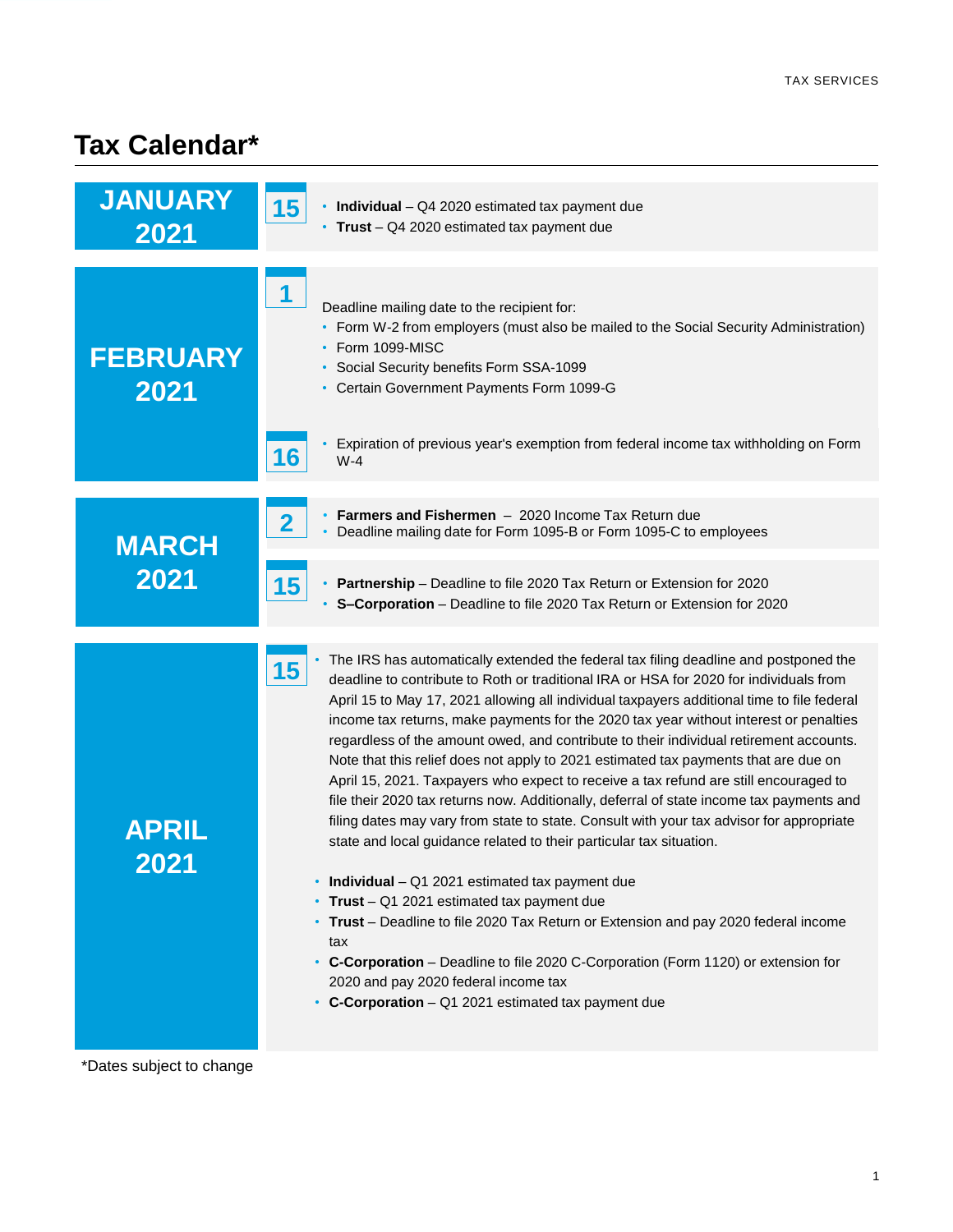## **Tax Calendar\***

| <b>JANUARY</b><br>2021  | 15 <sub>1</sub><br>• Individual - Q4 2020 estimated tax payment due<br>• Trust - Q4 2020 estimated tax payment due                                                                                                                                                                                                                                                                                                                                                                                                                                                                                                                                                                                                                                                                                                                                                                                                                                                                                                                                                                                                                                                                                                                                                                                         |
|-------------------------|------------------------------------------------------------------------------------------------------------------------------------------------------------------------------------------------------------------------------------------------------------------------------------------------------------------------------------------------------------------------------------------------------------------------------------------------------------------------------------------------------------------------------------------------------------------------------------------------------------------------------------------------------------------------------------------------------------------------------------------------------------------------------------------------------------------------------------------------------------------------------------------------------------------------------------------------------------------------------------------------------------------------------------------------------------------------------------------------------------------------------------------------------------------------------------------------------------------------------------------------------------------------------------------------------------|
| <b>FEBRUARY</b><br>2021 | 1<br>Deadline mailing date to the recipient for:<br>• Form W-2 from employers (must also be mailed to the Social Security Administration)<br>• Form 1099-MISC<br>• Social Security benefits Form SSA-1099<br>• Certain Government Payments Form 1099-G                                                                                                                                                                                                                                                                                                                                                                                                                                                                                                                                                                                                                                                                                                                                                                                                                                                                                                                                                                                                                                                     |
|                         | Expiration of previous year's exemption from federal income tax withholding on Form<br>16<br>$W-4$                                                                                                                                                                                                                                                                                                                                                                                                                                                                                                                                                                                                                                                                                                                                                                                                                                                                                                                                                                                                                                                                                                                                                                                                         |
| <b>MARCH</b><br>2021    | Farmers and Fishermen - 2020 Income Tax Return due<br>$\overline{\mathbf{2}}$<br>• Deadline mailing date for Form 1095-B or Form 1095-C to employees                                                                                                                                                                                                                                                                                                                                                                                                                                                                                                                                                                                                                                                                                                                                                                                                                                                                                                                                                                                                                                                                                                                                                       |
|                         | 15<br>• Partnership - Deadline to file 2020 Tax Return or Extension for 2020<br>• S-Corporation - Deadline to file 2020 Tax Return or Extension for 2020                                                                                                                                                                                                                                                                                                                                                                                                                                                                                                                                                                                                                                                                                                                                                                                                                                                                                                                                                                                                                                                                                                                                                   |
| <b>APRIL</b><br>2021    | The IRS has automatically extended the federal tax filing deadline and postponed the<br>15<br>deadline to contribute to Roth or traditional IRA or HSA for 2020 for individuals from<br>April 15 to May 17, 2021 allowing all individual taxpayers additional time to file federal<br>income tax returns, make payments for the 2020 tax year without interest or penalties<br>regardless of the amount owed, and contribute to their individual retirement accounts.<br>Note that this relief does not apply to 2021 estimated tax payments that are due on<br>April 15, 2021. Taxpayers who expect to receive a tax refund are still encouraged to<br>file their 2020 tax returns now. Additionally, deferral of state income tax payments and<br>filing dates may vary from state to state. Consult with your tax advisor for appropriate<br>state and local guidance related to their particular tax situation.<br>• Individual - Q1 2021 estimated tax payment due<br>Trust $-$ Q1 2021 estimated tax payment due<br>Trust - Deadline to file 2020 Tax Return or Extension and pay 2020 federal income<br>tax<br>C-Corporation - Deadline to file 2020 C-Corporation (Form 1120) or extension for<br>٠<br>2020 and pay 2020 federal income tax<br>• C-Corporation - Q1 2021 estimated tax payment due |

\*Dates subject to change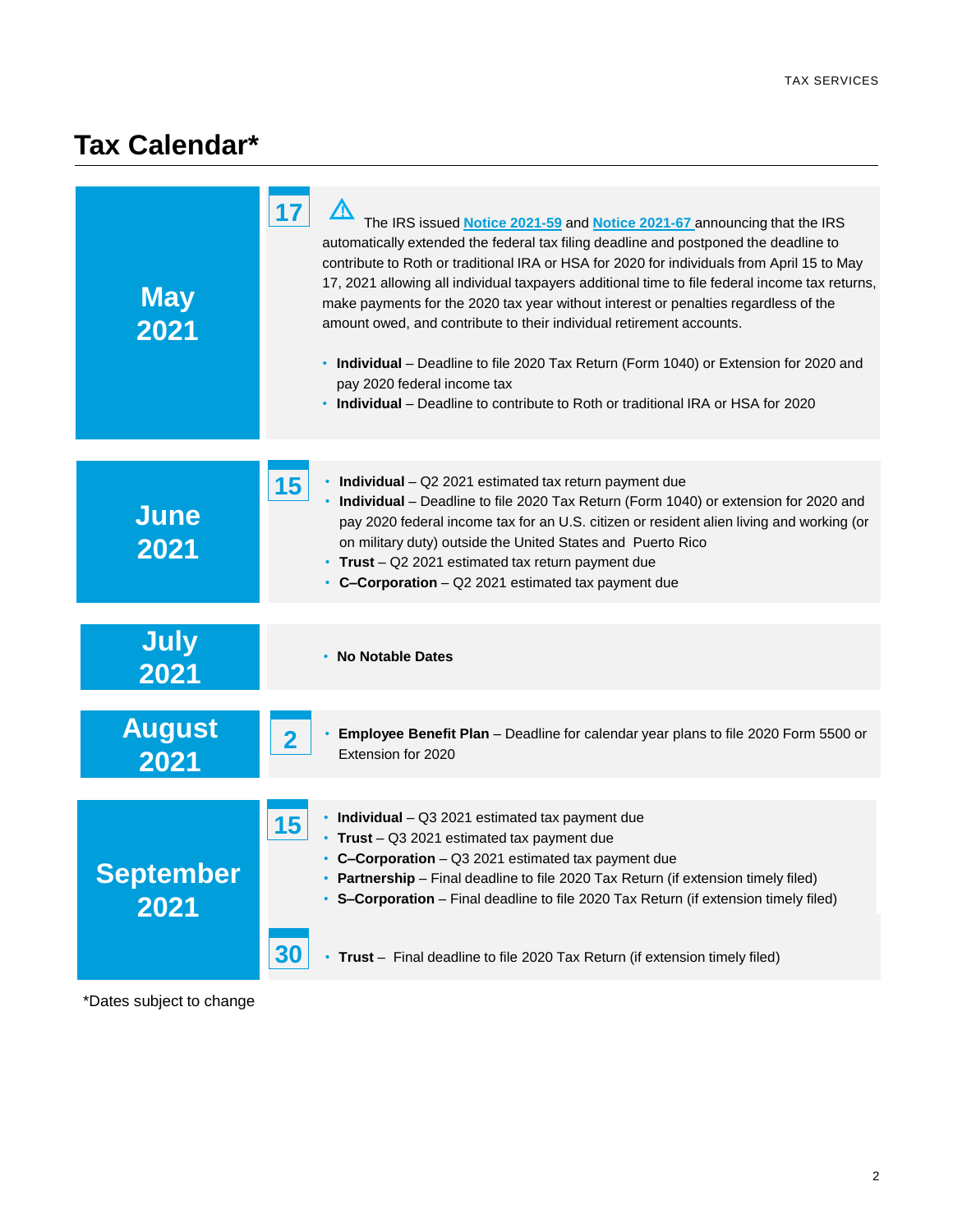## **Tax Calendar\***

| <b>May</b><br>2021       | 17<br>The IRS issued Notice 2021-59 and Notice 2021-67 announcing that the IRS<br>automatically extended the federal tax filing deadline and postponed the deadline to<br>contribute to Roth or traditional IRA or HSA for 2020 for individuals from April 15 to May<br>17, 2021 allowing all individual taxpayers additional time to file federal income tax returns,<br>make payments for the 2020 tax year without interest or penalties regardless of the<br>amount owed, and contribute to their individual retirement accounts.<br>• Individual - Deadline to file 2020 Tax Return (Form 1040) or Extension for 2020 and<br>pay 2020 federal income tax<br>• Individual – Deadline to contribute to Roth or traditional IRA or HSA for 2020 |
|--------------------------|---------------------------------------------------------------------------------------------------------------------------------------------------------------------------------------------------------------------------------------------------------------------------------------------------------------------------------------------------------------------------------------------------------------------------------------------------------------------------------------------------------------------------------------------------------------------------------------------------------------------------------------------------------------------------------------------------------------------------------------------------|
| <b>June</b><br>2021      | 15<br>• Individual - Q2 2021 estimated tax return payment due<br>• Individual - Deadline to file 2020 Tax Return (Form 1040) or extension for 2020 and<br>pay 2020 federal income tax for an U.S. citizen or resident alien living and working (or<br>on military duty) outside the United States and Puerto Rico<br>• Trust - Q2 2021 estimated tax return payment due<br>• C-Corporation - Q2 2021 estimated tax payment due                                                                                                                                                                                                                                                                                                                    |
| <b>July</b><br>2021      | • No Notable Dates                                                                                                                                                                                                                                                                                                                                                                                                                                                                                                                                                                                                                                                                                                                                |
| <b>August</b><br>2021    | Employee Benefit Plan - Deadline for calendar year plans to file 2020 Form 5500 or<br>$\overline{\mathbf{2}}$<br>Extension for 2020                                                                                                                                                                                                                                                                                                                                                                                                                                                                                                                                                                                                               |
| <b>September</b><br>2021 | $\cdot$ Individual - Q3 2021 estimated tax payment due<br>15<br>• Trust - Q3 2021 estimated tax payment due<br>• C-Corporation - Q3 2021 estimated tax payment due<br>• Partnership - Final deadline to file 2020 Tax Return (if extension timely filed)<br>• S-Corporation - Final deadline to file 2020 Tax Return (if extension timely filed)<br>30<br>• Trust - Final deadline to file 2020 Tax Return (if extension timely filed)                                                                                                                                                                                                                                                                                                            |

\*Dates subject to change